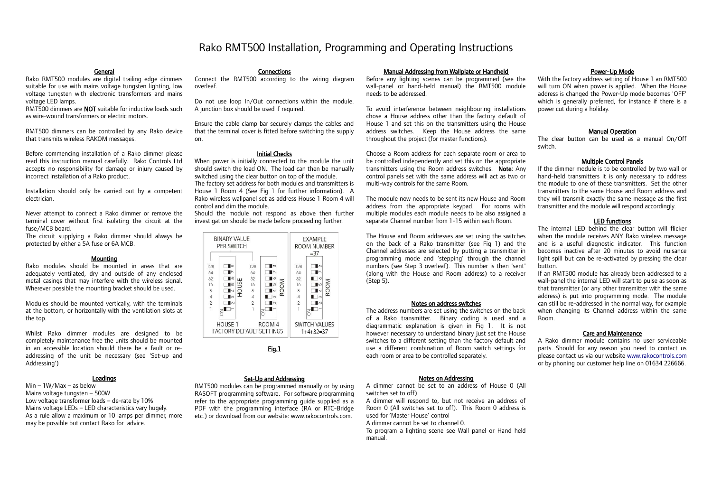## Rako RMT500 Installation, Programming and Operating Instructions

#### General

Rako RMT500 modules are digital trailing edge dimmers suitable for use with mains voltage tungsten lighting, low voltage tungsten with electronic transformers and mains voltage LED lamps.

RMT500 dimmers are **NOT** suitable for inductive loads such as wire-wound transformers or electric motors.

RMT500 dimmers can be controlled by any Rako device that transmits wireless RAKOM messages.

Before commencing installation of a Rako dimmer please read this instruction manual carefully. Rako Controls Ltd accepts no responsibility for damage or injury caused by incorrect installation of a Rako product.

Installation should only be carried out by a competent electrician.

Never attempt to connect a Rako dimmer or remove the terminal cover without first isolating the circuit at the fuse/MCB board.

The circuit supplying a Rako dimmer should always be protected by either a 5A fuse or 6A MCB.

#### **Mounting**

Rako modules should be mounted in areas that are adequately ventilated, dry and outside of any enclosed metal casings that may interfere with the wireless signal. Wherever possible the mounting bracket should be used.

Modules should be mounted vertically, with the terminals at the bottom, or horizontally with the ventilation slots at the top.

Whilst Rako dimmer modules are designed to be completely maintenance free the units should be mounted in an accessible location should there be a fault or readdressing of the unit be necessary (see 'Set-up and Addressing')

## **Loadings**

# Min – 1W/Max – as below

Mains voltage tungsten – 500W Low voltage transformer loads – de-rate by 10% Mains voltage LEDs – LED characteristics vary hugely. As a rule allow a maximum or 10 lamps per dimmer, more may be possible but contact Rako for advice.

## **Connections**

Connect the RMT500 according to the wiring diagram overleaf.

Do not use loop In/Out connections within the module. A junction box should be used if required.

Ensure the cable clamp bar securely clamps the cables and that the terminal cover is fitted before switching the supply on.

## Initial Checks

When power is initially connected to the module the unit should switch the load ON. The load can then be manually switched using the clear button on top of the module. The factory set address for both modules and transmitters is House 1 Room 4 (See Fig 1 for further information). A Rako wireless wallpanel set as address House 1 Room 4 will control and dim the module.

Should the module not respond as above then further investigation should be made before proceeding further.

| <b>BINARY VALUE</b><br>PER SWITCH                                        |                                                                                                                 |                                                          |                                                 |                                                          | <b>FXAMPLE</b><br>ROOM NUMBER<br>$= 37$                             |  |
|--------------------------------------------------------------------------|-----------------------------------------------------------------------------------------------------------------|----------------------------------------------------------|-------------------------------------------------|----------------------------------------------------------|---------------------------------------------------------------------|--|
| 128<br>64<br>32<br>16<br>8<br>$\Delta$<br>$\overline{2}$<br>$\mathbf{1}$ | ∎∞<br>$\overline{ }$<br>∣ю<br>55<br><b>I</b> LO<br>후<br>ד∽<br>∎ை<br>$\mathsf{I}\!\!\mathrel{\scriptstyle\circ}$ | 128<br>64<br>32<br>16<br>8<br>$\Delta$<br>$\overline{2}$ | ∎∞<br>Iю<br>ROOM<br><b>LO</b><br>lЧ<br>∃∞<br>ΙN | 128<br>64<br>32<br>16<br>8<br>$\Delta$<br>$\overline{2}$ | $\infty$<br>$\circ$<br>ROOM<br>lω<br>$\overline{a}$<br>π∞<br>$\sim$ |  |
| HOUSE 1<br>ROOM <sub>4</sub><br><b>FACTORY DEFAULT SETTINGS</b>          |                                                                                                                 |                                                          |                                                 |                                                          | <b>SWITCH VALUES</b><br>$1+4+32=37$                                 |  |

## Fig.1

#### Set-Up and Addressing

RMT500 modules can be programmed manually or by using RASOFT programming software. For software programming refer to the appropriate programming guide supplied as a PDF with the programming interface (RA or RTC-Bridge etc.) or download from our website: www.rakocontrols.com.

## Manual Addressing from Wallplate or Handheld

Before any lighting scenes can be programmed (see the wall-panel or hand-held manual) the RMT500 module needs to be addressed.

To avoid interference between neighbouring installations chose a House address other than the factory default of House 1 and set this on the transmitters using the House address switches. Keep the House address the same throughout the project (for master functions).

Choose a Room address for each separate room or area to be controlled independently and set this on the appropriate transmitters using the Room address switches. Note: Any control panels set with the same address will act as two or multi-way controls for the same Room.

The module now needs to be sent its new House and Room address from the appropriate keypad. For rooms with multiple modules each module needs to be also assigned a separate Channel number from 1-15 within each Room.

The House and Room addresses are set using the switches on the back of a Rako transmitter (see Fig 1) and the Channel addresses are selected by putting a transmitter in programming mode and 'stepping' through the channel numbers (see Step 3 overleaf). This number is then 'sent' (along with the House and Room address) to a receiver (Step 5).

## Notes on address switches

The address numbers are set using the switches on the back of a Rako transmitter. Binary coding is used and a diagrammatic explanation is given in Fig 1. It is not however necessary to understand binary just set the House switches to a different setting than the factory default and use a different combination of Room switch settings for each room or area to be controlled separately.

## Notes on Addressing

A dimmer cannot be set to an address of House 0 (All switches set to off)

A dimmer will respond to, but not receive an address of Room 0 (All switches set to off). This Room 0 address is used for 'Master House' control

A dimmer cannot be set to channel 0.

To program a lighting scene see Wall panel or Hand held manual.

#### Power-Up Mode

With the factory address setting of House 1 an RMT500 will turn ON when power is applied. When the House address is changed the Power-Up mode becomes 'OFF' which is generally preferred, for instance if there is a power cut during a holiday.

## Manual Operation

The clear button can be used as a manual On/Off switch.

### Multiple Control Panels

If the dimmer module is to be controlled by two wall or hand-held transmitters it is only necessary to address the module to one of these transmitters. Set the other transmitters to the same House and Room address and they will transmit exactly the same message as the first transmitter and the module will respond accordingly.

#### LED functions

The internal LED behind the clear button will flicker when the module receives ANY Rako wireless message and is a useful diagnostic indicator. This function becomes inactive after 20 minutes to avoid nuisance light spill but can be re-activated by pressing the clear button.

If an RMT500 module has already been addressed to a wall-panel the internal LED will start to pulse as soon as that transmitter (or any other transmitter with the same address) is put into programming mode. The module can still be re-addressed in the normal way, for example when changing its Channel address within the same Room.

### Care and Maintenance

A Rako dimmer module contains no user serviceable parts. Should for any reason you need to contact us please contact us via our website [www.rakocontrols.com](http://www.rakocontrols.com/) or by phoning our customer help line on 01634 226666.